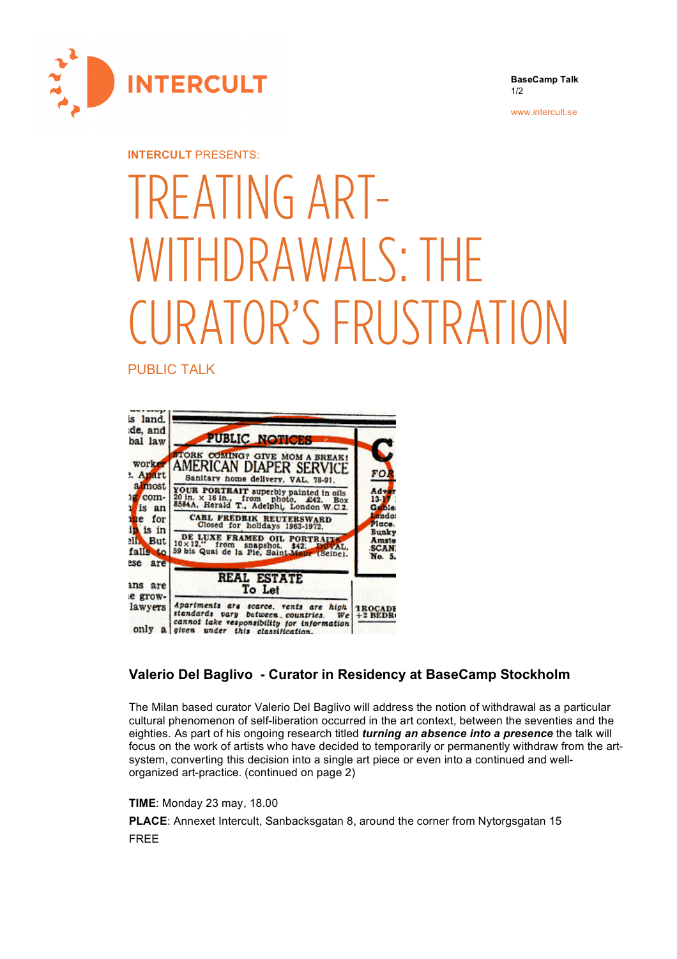

**BaseCamp Talk** 1/2

www.intercult.se

## **INTERCULT** PRESENTS:

## TREATING ART-WITHDRAWALS: THE CURATOR'S FRUSTRATION

PUBLIC TALK



## **Valerio Del Baglivo - Curator in Residency at BaseCamp Stockholm**

The Milan based curator Valerio Del Baglivo will address the notion of withdrawal as a particular cultural phenomenon of self-liberation occurred in the art context, between the seventies and the eighties. As part of his ongoing research titled *turning an absence into a presence* the talk will focus on the work of artists who have decided to temporarily or permanently withdraw from the artsystem, converting this decision into a single art piece or even into a continued and wellorganized art-practice. (continued on page 2)

## **TIME**: Monday 23 may, 18.00

**PLACE**: Annexet Intercult, Sanbacksgatan 8, around the corner from Nytorgsgatan 15 FREE